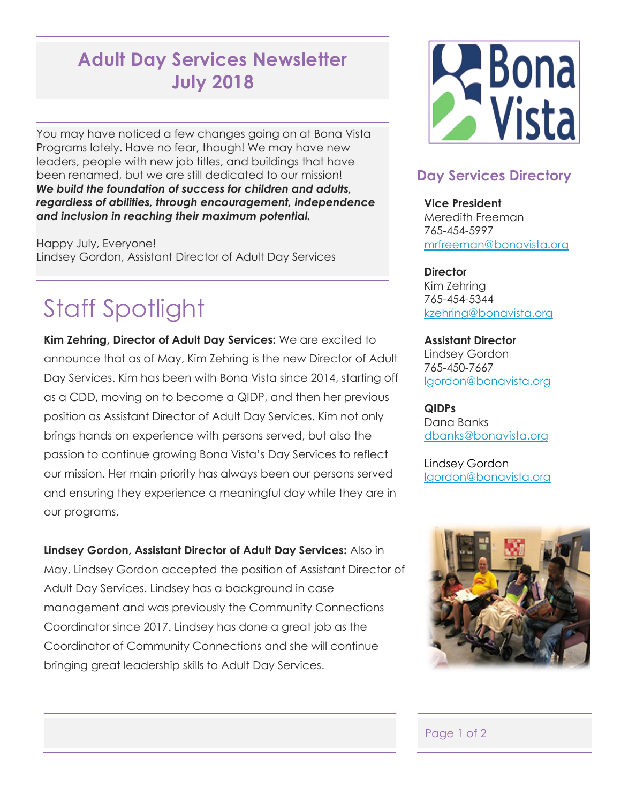## **Adult Day Services Newsletter July 2018**

You may have noticed a few changes going on at Bona Vista Programs lately. Have no fear, though! We may have new leaders, people with new job titles, and buildings that have been renamed, but we are still dedicated to our mission! *We build the foundation of success for children and adults, regardless of abilities, through encouragement, independence and inclusion in reaching their maximum potential.*

Happy July, Everyone! Lindsey Gordon, Assistant Director of Adult Day Services

# Staff Spotlight

**Kim Zehring, Director of Adult Day Services:** We are excited to announce that as of May, Kim Zehring is the new Director of Adult Day Services. Kim has been with Bona Vista since 2014, starting off as a CDD, moving on to become a QIDP, and then her previous position as Assistant Director of Adult Day Services. Kim not only brings hands on experience with persons served, but also the passion to continue growing Bona Vista's Day Services to reflect our mission. Her main priority has always been our persons served and ensuring they experience a meaningful day while they are in our programs.

**Lindsey Gordon, Assistant Director of Adult Day Services:** Also in May, Lindsey Gordon accepted the position of Assistant Director of Adult Day Services. Lindsey has a background in case management and was previously the Community Connections Coordinator since 2017. Lindsey has done a great job as the Coordinator of Community Connections and she will continue bringing great leadership skills to Adult Day Services.



## **Day Services Directory**

**Vice President** Meredith Freeman 765-454-5997 [mrfreeman@bonavista.org](mailto:mrfreeman@bonavista.org)

**Director** Kim Zehring 765-454-5344 [kzehring@bonavista.org](mailto:kzehring@bonavista.org)

**Assistant Director** Lindsey Gordon 765-450-7667 [lgordon@bonavista.org](mailto:lgordon@bonavista.org)

**QIDPs** Dana Banks [dbanks@bonavista.org](mailto:dbanks@bonavista.org)

Lindsey Gordon lgordon@bonavista.org



#### Page 1 of 2